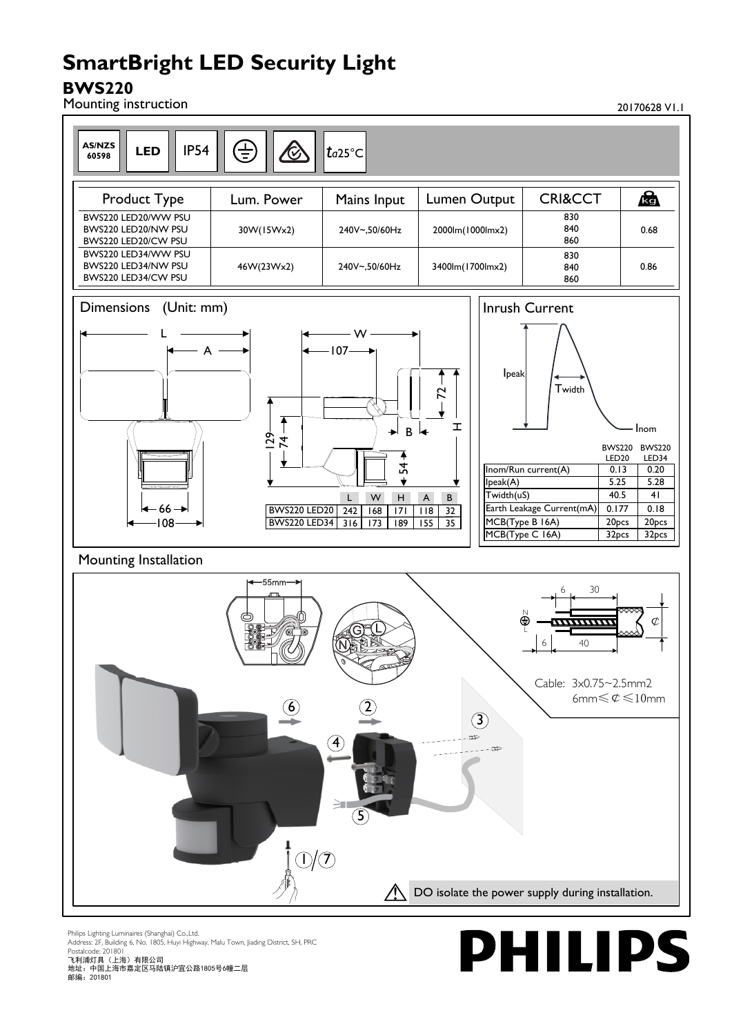# **SmartBright LED Security Light**

## **BWS220**



Philips Lighting Luminaires (Shanghai) Co.,Ltd. Address: 2F, Building 6, No. 1805, Huyi Highway, Malu Town, Jiading District, SH, PRC Postalcode: 201801 飞利浦灯具(上海)有限公司

地址:中国上海市嘉定区马陆镇沪宜公路1805号6幢二层 邮编:201801

**PHILIPS**